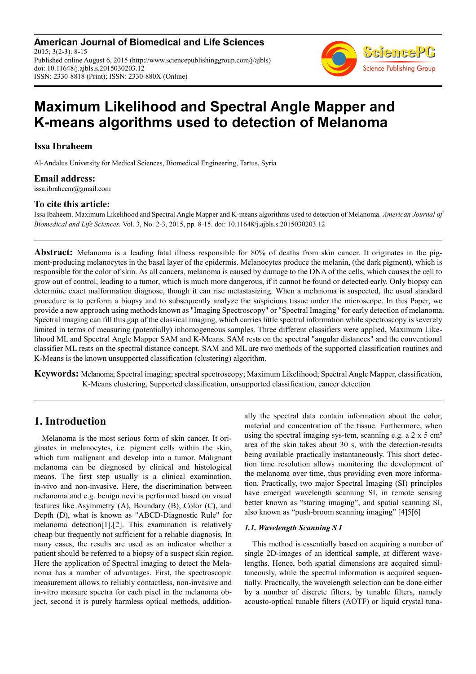**American Journal of Biomedical and Life Sciences** 2015; 3(2-3): 8-15 Published online August 6, 2015 (http://www.sciencepublishinggroup.com/j/ajbls) doi: 10.11648/j.ajbls.s.2015030203.12 ISSN: 2330-8818 (Print); ISSN: 2330-880X (Online)



# **Maximum Likelihood and Spectral Angle Mapper and K-means algorithms used to detection of Melanoma**

### **Issa Ibraheem**

Al-Andalus University for Medical Sciences, Biomedical Engineering, Tartus, Syria

### **Email address:**

issa.ibraheem@gmail.com

### **To cite this article:**

Issa Ibaheem. Maximum Likelihood and Spectral Angle Mapper and K-means algorithms used to detection of Melanoma. *American Journal of Biomedical and Life Sciences.* Vol. 3, No. 2-3, 2015, pp. 8-15. doi: 10.11648/j.ajbls.s.2015030203.12

**Abstract:** Melanoma is a leading fatal illness responsible for 80% of deaths from skin cancer. It originates in the pigment-producing melanocytes in the basal layer of the epidermis. Melanocytes produce the melanin, (the dark pigment), which is responsible for the color of skin. As all cancers, melanoma is caused by damage to the DNA of the cells, which causes the cell to grow out of control, leading to a tumor, which is much more dangerous, if it cannot be found or detected early. Only biopsy can determine exact malformation diagnose, though it can rise metastasizing. When a melanoma is suspected, the usual standard procedure is to perform a biopsy and to subsequently analyze the suspicious tissue under the microscope. In this Paper, we provide a new approach using methods known as "Imaging Spectroscopy" or "Spectral Imaging" for early detection of melanoma. Spectral imaging can fill this gap of the classical imaging, which carries little spectral information while spectroscopy is severely limited in terms of measuring (potentially) inhomogeneous samples. Three different classifiers were applied, Maximum Likelihood ML and Spectral Angle Mapper SAM and K-Means. SAM rests on the spectral "angular distances" and the conventional classifier ML rests on the spectral distance concept. SAM and ML are two methods of the supported classification routines and K-Means is the known unsupported classification (clustering) algorithm.

**Keywords:** Melanoma; Spectral imaging; spectral spectroscopy; Maximum Likelihood; Spectral Angle Mapper, classification, K-Means clustering, Supported classification, unsupported classification, cancer detection

## **1. Introduction**

Melanoma is the most serious form of skin cancer. It originates in melanocytes, i.e. pigment cells within the skin, which turn malignant and develop into a tumor. Malignant melanoma can be diagnosed by clinical and histological means. The first step usually is a clinical examination, in-vivo and non-invasive. Here, the discrimination between melanoma and e.g. benign nevi is performed based on visual features like Asymmetry (A), Boundary (B), Color (C), and Depth (D), what is known as "ABCD-Diagnostic Rule" for melanoma detection $[1]$ ,  $[2]$ . This examination is relatively cheap but frequently not sufficient for a reliable diagnosis. In many cases, the results are used as an indicator whether a patient should be referred to a biopsy of a suspect skin region. Here the application of Spectral imaging to detect the Melanoma has a number of advantages. First, the spectroscopic measurement allows to reliably contactless, non-invasive and in-vitro measure spectra for each pixel in the melanoma object, second it is purely harmless optical methods, additionally the spectral data contain information about the color, material and concentration of the tissue. Furthermore, when using the spectral imaging sys-tem, scanning e.g. a  $2 \times 5$  cm<sup>2</sup> area of the skin takes about 30 s, with the detection-results being available practically instantaneously. This short detection time resolution allows monitoring the development of the melanoma over time, thus providing even more information. Practically, two major Spectral Imaging (SI) principles have emerged wavelength scanning SI, in remote sensing better known as "staring imaging", and spatial scanning SI, also known as "push-broom scanning imaging" [4]5[6]

### *1.1. Wavelength Scanning S I*

This method is essentially based on acquiring a number of single 2D-images of an identical sample, at different wavelengths. Hence, both spatial dimensions are acquired simultaneously, while the spectral information is acquired sequentially. Practically, the wavelength selection can be done either by a number of discrete filters, by tunable filters, namely acousto-optical tunable filters (AOTF) or liquid crystal tuna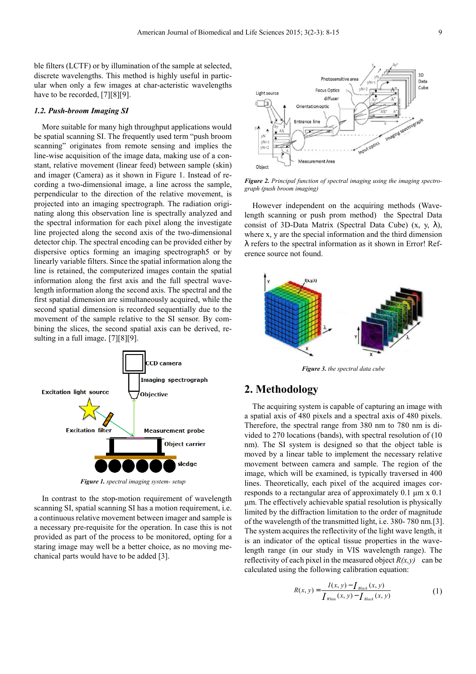ble filters (LCTF) or by illumination of the sample at selected, discrete wavelengths. This method is highly useful in particular when only a few images at char-acteristic wavelengths have to be recorded, [7] [8] [9].

#### *1.2. Push-broom Imaging SI*

More suitable for many high throughput applications would be spatial scanning SI. The frequently used term "push broom scanning" originates from remote sensing and implies the line-wise acquisition of the image data, making use of a constant, relative movement (linear feed) between sample (skin) and imager (Camera) as it shown in Figure 1. Instead of recording a two-dimensional image, a line across the sample, perpendicular to the direction of the relative movement, is projected into an imaging spectrograph. The radiation originating along this observation line is spectrally analyzed and the spectral information for each pixel along the investigate line projected along the second axis of the two-dimensional detector chip. The spectral encoding can be provided either by dispersive optics forming an imaging spectrograph5 or by linearly variable filters. Since the spatial information along the line is retained, the computerized images contain the spatial information along the first axis and the full spectral wavelength information along the second axis. The spectral and the first spatial dimension are simultaneously acquired, while the second spatial dimension is recorded sequentially due to the movement of the sample relative to the SI sensor. By combining the slices, the second spatial axis can be derived, resulting in a full image.  $[7][8][9]$ .



*Figure 1. spectral imaging system- setup*

In contrast to the stop-motion requirement of wavelength scanning SI, spatial scanning SI has a motion requirement, i.e. a continuous relative movement between imager and sample is a necessary pre-requisite for the operation. In case this is not provided as part of the process to be monitored, opting for a staring image may well be a better choice, as no moving mechanical parts would have to be added [3].



*Figure 2. Principal function of spectral imaging using the imaging spectrograph (push broom imaging)* 

However independent on the acquiring methods (Wavelength scanning or push prom method) the Spectral Data consist of 3D-Data Matrix (Spectral Data Cube)  $(x, y, \lambda)$ , where x, y are the special information and the third dimension λ refers to the spectral information as it shown in Error! Reference source not found.



*Figure 3. the spectral data cube* 

### **2. Methodology**

The acquiring system is capable of capturing an image with a spatial axis of 480 pixels and a spectral axis of 480 pixels. Therefore, the spectral range from 380 nm to 780 nm is divided to 270 locations (bands), with spectral resolution of (10 nm). The SI system is designed so that the object table is moved by a linear table to implement the necessary relative movement between camera and sample. The region of the image, which will be examined, is typically traversed in 400 lines. Theoretically, each pixel of the acquired images corresponds to a rectangular area of approximately 0.1 µm x 0.1 µm. The effectively achievable spatial resolution is physically limited by the diffraction limitation to the order of magnitude of the wavelength of the transmitted light, i.e. 380- 780 nm. [3]. The system acquires the reflectivity of the light wave length, it is an indicator of the optical tissue properties in the wavelength range (in our study in VIS wavelength range). The reflectivity of each pixel in the measured object  $R(x, y)$  can be calculated using the following calibration equation:

$$
R(x, y) = \frac{I(x, y) - I_{Black}(x, y)}{I_{White}(x, y) - I_{Black}(x, y)}
$$
(1)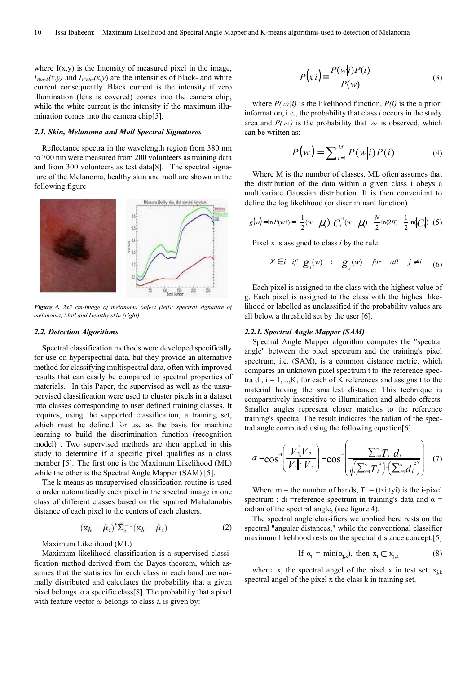where  $I(x,y)$  is the Intensity of measured pixel in the image,  $I_{Black}(x, y)$  and  $I_{White}(x, y)$  are the intensities of black- and white current consequently. Black current is the intensity if zero illumination (lens is covered) comes into the camera chip, while the white current is the intensity if the maximum illumination comes into the camera chip $[5]$ .

#### *2.1. Skin, Melanoma and Moll Spectral Signatures*

Reflectance spectra in the wavelength region from 380 nm to 700 nm were measured from 200 volunteers as training data and from 300 volunteers as test data $[8]$ . The spectral signature of the Melanoma, healthy skin and moll are shown in the following figure



*Figure 4. 2x2 cm-image of melanoma object (left); spectral signature of melanoma, Moll and Healthy skin (right)* 

#### *2.2. Detection Algorithms*

Spectral classification methods were developed specifically for use on hyperspectral data, but they provide an alternative method for classifying multispectral data, often with improved results that can easily be compared to spectral properties of materials. In this Paper, the supervised as well as the unsupervised classification were used to cluster pixels in a dataset into classes corresponding to user defined training classes. It requires, using the supported classification, a training set, which must be defined for use as the basis for machine learning to build the discrimination function (recognition model) . Two supervised methods are then applied in this study to determine if a specific pixel qualifies as a class member [5]. The first one is the Maximum Likelihood (ML) while the other is the Spectral Angle Mapper (SAM) [5].

The k-means as unsupervised classification routine is used to order automatically each pixel in the spectral image in one class of different classes based on the squared Mahalanobis distance of each pixel to the centers of each clusters.

$$
(\mathbf{x}_k - \hat{\boldsymbol{\mu}}_i)^t \hat{\boldsymbol{\Sigma}}_i^{-1} (\mathbf{x}_k - \hat{\boldsymbol{\mu}}_i)
$$
 (2)

Maximum Likelihood (ML)

Maximum likelihood classification is a supervised classification method derived from the Bayes theorem, which assumes that the statistics for each class in each band are normally distributed and calculates the probability that a given pixel belongs to a specific class [8]. The probability that a pixel with feature vector  $\omega$  belongs to class *i*, is given by:

$$
P(x|i) = \frac{P(w|i)P(i)}{P(w)}
$$
\n(3)

where  $P(\omega|i)$  is the likelihood function,  $P(i)$  is the a priori information, i.e., the probability that class *i* occurs in the study area and  $P(\omega)$  is the probability that  $\omega$  is observed, which can be written as:

$$
P(w) = \sum_{i=1}^{M} P(w|i)P(i) \tag{4}
$$

Where M is the number of classes. ML often assumes that the distribution of the data within a given class i obeys a multivariate Gaussian distribution. It is then convenient to define the log likelihood (or discriminant function)

$$
g(w) = \ln P(w|i) = -\frac{1}{2}(w - \mu_i)^T C_i^{(1)}(w - \mu_i) - \frac{N}{2}\ln(2\pi) - \frac{1}{2}\ln(C_i|) \tag{5}
$$

Pixel x is assigned to class *i* by the rule:

$$
X \in i \quad \text{if} \quad \mathbf{g}_i(w) \quad \rangle \quad \mathbf{g}_j(w) \quad \text{for} \quad \text{all} \quad j \neq i \quad \text{(6)}
$$

Each pixel is assigned to the class with the highest value of g. Each pixel is assigned to the class with the highest likelihood or labelled as unclassified if the probability values are all below a threshold set by the user [6].

#### *2.2.1. Spectral Angle Mapper (SAM)*

Spectral Angle Mapper algorithm computes the "spectral angle" between the pixel spectrum and the training's pixel spectrum, i.e. (SAM), is a common distance metric, which compares an unknown pixel spectrum t to the reference spectra di,  $i = 1, \dots, K$ , for each of K references and assigns t to the material having the smallest distance: This technique is comparatively insensitive to illumination and albedo effects. Smaller angles represent closer matches to the reference training's spectra. The result indicates the radian of the spectral angle computed using the following equation [6].

$$
\alpha = \cos^{-1}\left(\frac{V_{11}^{T}V_{2}}{\|V_{1}\| \cdot \|V_{2}\|}\right) = \cos^{-1}\left(\frac{\sum_{i=1}^{m}T_{i} \cdot d_{i}}{\sqrt{\left(\sum_{i=1}^{m}T_{i}^{2}\right)\left(\sum_{i=1}^{m}d_{i}^{2}\right)}}\right) (7)
$$

Where  $m =$  the number of bands;  $Ti = (txi, tyi)$  is the *i-pixel* spectrum ; di =reference spectrum in training's data and  $\alpha$  = radian of the spectral angle, (see figure 4).

The spectral angle classifiers we applied here rests on the spectral "angular distances," while the conventional classifier maximum likelihood rests on the spectral distance concept.[5]

If 
$$
\alpha_i = \min(\alpha_{j,k})
$$
, then  $x_i \in x_{j,k}$  (8)

where:  $x_i$  the spectral angel of the pixel x in test set.  $x_{j,k}$ spectral angel of the pixel x the class k in training set.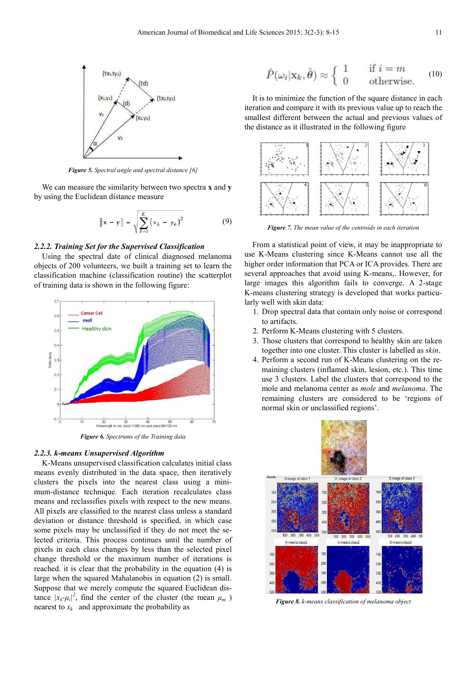

*Figure 5. Spectral angle and spectral distance [6]* 

We can measure the similarity between two spectra **x** and **y**  by using the Euclidean distance measure

$$
\|\mathbf{x} - \mathbf{y}\| = \sqrt{\sum_{k=1}^{K} (x_k - y_k)^2}
$$
 (9)

#### *2.2.2. Training Set for the Supervised Classification*

Using the spectral date of clinical diagnosed melanoma objects of 200 volunteers, we built a training set to learn the classification machine (classification routine) the scatterplot of training data is shown in the following figure:



*Figure 6. Spectrums of the Training data* 

#### *2.2.3. k-means Unsupervised Algorithm*

K-Means unsupervised classification calculates initial class means evenly distributed in the data space, then iteratively clusters the pixels into the nearest class using a minimum-distance technique. Each iteration recalculates class means and reclassifies pixels with respect to the new means. All pixels are classified to the nearest class unless a standard deviation or distance threshold is specified, in which case some pixels may be unclassified if they do not meet the selected criteria. This process continues until the number of pixels in each class changes by less than the selected pixel change threshold or the maximum number of iterations is reached. it is clear that the probability in the equation (4) is large when the squared Mahalanobis in equation (2) is small. Suppose that we merely compute the squared Euclidean distance  $|x_k - \mu_i|^2$ , find the center of the cluster (the mean  $\mu_m$ ) nearest to  $x_k$  and approximate the probability as

$$
\hat{P}(\omega_i|\mathbf{x}_k,\hat{\boldsymbol{\theta}}) \approx \begin{cases} 1 & \text{if } i=m\\ 0 & \text{otherwise.} \end{cases}
$$
 (10)

It is to minimize the function of the square distance in each iteration and compare it with its previous value up to reach the smallest different between the actual and previous values of the distance as it illustrated in the following figure



*Figure 7. The mean value of the centroids in each iteration* 

From a statistical point of view, it may be inappropriate to use K-Means clustering since K-Means cannot use all the higher order information that PCA or ICA provides. There are several approaches that avoid using K-means,. However, for large images this algorithm fails to converge. A 2-stage K-means clustering strategy is developed that works particularly well with skin data:

- 1. Drop spectral data that contain only noise or correspond to artifacts.
- 2. Perform K-Means clustering with 5 clusters.
- 3. Those clusters that correspond to healthy skin are taken together into one cluster. This cluster is labelled as *skin*.
- 4. Perform a second run of K-Means clustering on the remaining clusters (inflamed skin, lesion, etc.). This time use 3 clusters. Label the clusters that correspond to the mole and melanoma center as *mole* and *melanoma*. The remaining clusters are considered to be 'regions of normal skin or unclassified regions'.



*Figure 8. k-means classification of melanoma object*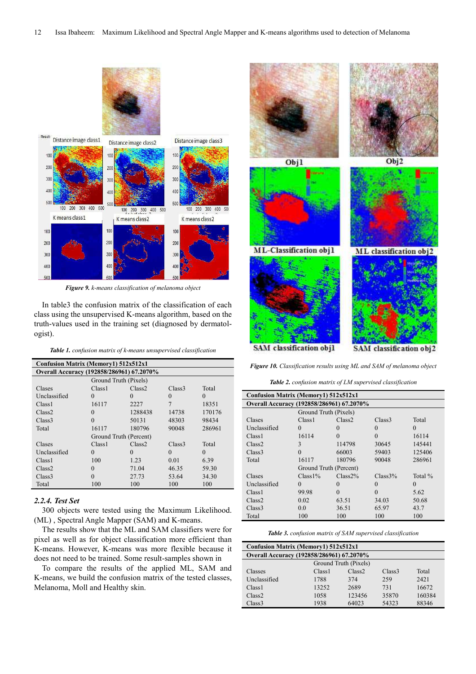

*Figure 9. k-means classification of melanoma object* 

In table3 the confusion matrix of the classification of each class using the unsupervised K-means algorithm, based on the truth-values used in the training set (diagnosed by dermatologist).

*Table 1. confusion matrix of k-means unsupervised classification* 

| Confusion Matrix (Memory1) 512x512x1      |                        |                    |                    |          |  |
|-------------------------------------------|------------------------|--------------------|--------------------|----------|--|
| Overall Accuracy (192858/286961) 67.2070% |                        |                    |                    |          |  |
|                                           | Ground Truth (Pixels)  |                    |                    |          |  |
| Clases                                    | Class <sub>1</sub>     | Class <sub>2</sub> | Class <sub>3</sub> | Total    |  |
| Unclassified                              | $\theta$               | $\theta$           | $\theta$           | $\Omega$ |  |
| Class <sub>1</sub>                        | 16117                  | 2227               |                    | 18351    |  |
| Class <sub>2</sub>                        | $\Omega$               | 1288438            | 14738              | 170176   |  |
| Class3                                    | $\Omega$               | 50131              | 48303              | 98434    |  |
| Total                                     | 16117                  | 180796             | 90048              | 286961   |  |
|                                           | Ground Truth (Percent) |                    |                    |          |  |
| Clases                                    | Class <sub>1</sub>     | Class2             | Class <sub>3</sub> | Total    |  |
| Unclassified                              | $\Omega$               | $\Omega$           | $\Omega$           | $\Omega$ |  |
| Class <sub>1</sub>                        | 100                    | 1.23               | 0.01               | 6.39     |  |
| Class2                                    | $\Omega$               | 71.04              | 46.35              | 59.30    |  |
| Class3                                    | $\theta$               | 27.73              | 53.64              | 34.30    |  |
| Total                                     | 100                    | 100                | 100                | 100      |  |

#### *2.2.4. Test Set*

300 objects were tested using the Maximum Likelihood. (ML) , Spectral Angle Mapper (SAM) and K-means.

The results show that the ML and SAM classifiers were for pixel as well as for object classification more efficient than K-means. However, K-means was more flexible because it does not need to be trained. Some result-samples shown in

To compare the results of the applied ML, SAM and K-means, we build the confusion matrix of the tested classes, Melanoma, Moll and Healthy skin.



*Figure 10. Classification results using ML and SAM of melanoma object* 

*Table 2. confusion matrix of LM supervised classification* 

| <b>Confusion Matrix (Memory1) 512x512x1</b> |                        |                    |                    |          |  |
|---------------------------------------------|------------------------|--------------------|--------------------|----------|--|
| Overall Accuracy (192858/286961) 67.2070%   |                        |                    |                    |          |  |
|                                             | Ground Truth (Pixels)  |                    |                    |          |  |
| Clases                                      | Class <sub>1</sub>     | Class <sub>2</sub> | Class <sub>3</sub> | Total    |  |
| Unclassified                                | $\Omega$               | $\Omega$           | $\Omega$           | $\Omega$ |  |
| Class <sub>1</sub>                          | 16114                  | $\Omega$           | $\Omega$           | 16114    |  |
| Class <sub>2</sub>                          | 3                      | 114798             | 30645              | 145441   |  |
| Class <sub>3</sub>                          | $\Omega$               | 66003              | 59403              | 125406   |  |
| Total                                       | 16117                  | 180796             | 90048              | 286961   |  |
|                                             | Ground Truth (Percent) |                    |                    |          |  |
| Clases                                      | $Class1\%$             | Class 2%           | Class3%            | Total %  |  |
| Unclassified                                | $\Omega$               | $\Omega$           | $\Omega$           | $\Omega$ |  |
| Class <sub>1</sub>                          | 99.98                  | $\Omega$           | $\Omega$           | 5.62     |  |
| Class2                                      | 0.02                   | 63.51              | 34.03              | 50.68    |  |
| Class <sub>3</sub>                          | 0.0                    | 36.51              | 65.97              | 43.7     |  |
| Total                                       | 100                    | 100                | 100                | 100      |  |

*Table 3. confusion matrix of SAM supervised classification* 

| Confusion Matrix (Memory1) 512x512x1      |                       |        |                    |        |  |
|-------------------------------------------|-----------------------|--------|--------------------|--------|--|
| Overall Accuracy (192858/286961) 67.2070% |                       |        |                    |        |  |
|                                           | Ground Truth (Pixels) |        |                    |        |  |
| Classes                                   | Class <sub>1</sub>    | Class2 | Class <sub>3</sub> | Total  |  |
| Unclassified                              | 1788                  | 374    | 259                | 2421   |  |
| Class <sub>1</sub>                        | 13252                 | 2689   | 731                | 16672  |  |
| Class2                                    | 1058                  | 123456 | 35870              | 160384 |  |
| Class <sub>3</sub>                        | 1938                  | 64023  | 54323              | 88346  |  |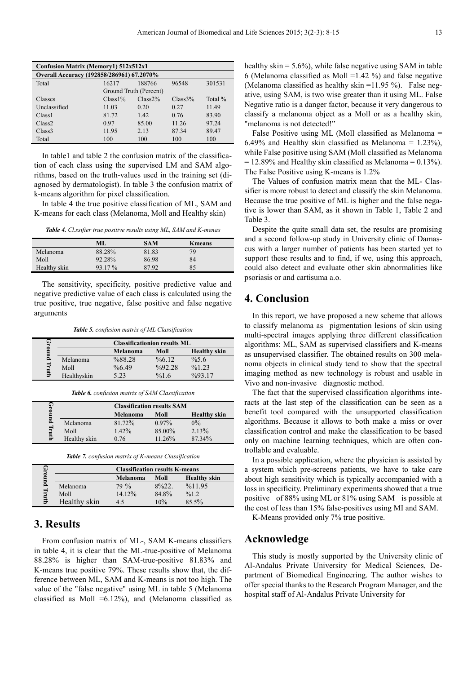| <b>Confusion Matrix (Memory1) 512x512x1</b> |            |                        |         |         |  |  |
|---------------------------------------------|------------|------------------------|---------|---------|--|--|
| Overall Accuracy (192858/286961) 67.2070%   |            |                        |         |         |  |  |
| Total                                       | 16217      | 188766                 | 96548   | 301531  |  |  |
|                                             |            | Ground Truth (Percent) |         |         |  |  |
| <b>Classes</b>                              | $Class1\%$ | Class 2%               | Class3% | Total % |  |  |
| Unclassified                                | 11.03      | 0.20                   | 0.27    | 11.49   |  |  |
| Class <sub>1</sub>                          | 81.72      | 1.42                   | 0.76    | 83.90   |  |  |
| Class <sub>2</sub>                          | 0.97       | 85.00                  | 11.26   | 97.24   |  |  |
| Class <sub>3</sub>                          | 11.95      | 2.13                   | 87.34   | 89.47   |  |  |
| Total                                       | 100        | 100                    | 100     | 100     |  |  |

In table1 and table 2 the confusion matrix of the classification of each class using the supervised LM and SAM algorithms, based on the truth-values used in the training set (diagnosed by dermatologist). In table 3 the confusion matrix of k-means algorithm for pixel classification.

In table 4 the true positive classification of ML, SAM and K-means for each class (Melanoma, Moll and Healthy skin)

*Table 4. Cl.ssifier true positive results using ML, SAM and K-menas* 

|              | ML      | <b>SAM</b> | <b>K</b> means |
|--------------|---------|------------|----------------|
| Melanoma     | 88.28%  | 81.83      | 79             |
| Moll         | 92.28%  | 86.98      | 84             |
| Healthy skin | 93.17 % | 87.92      | 85             |

The sensitivity, specificity, positive predictive value and negative predictive value of each class is calculated using the true positive, true negative, false positive and false negative arguments

*Table 5. confusion matrix of ML Classification* 

|   | <b>Classificationion results ML</b> |          |                    |                     |
|---|-------------------------------------|----------|--------------------|---------------------|
|   |                                     | Melanoma | Moll               | <b>Healthy</b> skin |
|   | Melanoma                            | %88.28   | $\frac{9}{66}$ .12 | $\frac{9}{65.6}$    |
|   | Moll                                | %6.49    | $\frac{0}{0}92.28$ | %1.23               |
| ≘ | Healthyskin                         | 5 23     | %16                | $\frac{0}{0}9317$   |

*Table 6. confusion matrix of SAM Classification* 

| ч,    | <b>Classification results SAM</b> |          |          |                     |
|-------|-----------------------------------|----------|----------|---------------------|
|       |                                   | Melanoma | Moll     | <b>Healthy skin</b> |
| 틦     | Melanoma                          | 81.72%   | $0.97\%$ | $0\%$               |
| Truth | Moll                              | $1.42\%$ | 85.00%   | 2.13%               |
|       | Healthy skin                      | 0.76     | 11.26%   | 87.34%              |

|  | <b>Table 7.</b> confusion matrix of K-means Classification |  |
|--|------------------------------------------------------------|--|
|--|------------------------------------------------------------|--|

|             | <b>Classification results K-means</b> |          |         |                     |
|-------------|---------------------------------------|----------|---------|---------------------|
| round Truth |                                       | Melanoma | Moll    | <b>Healthy</b> skin |
|             | Melanoma                              | $79\%$   | $8\%22$ | %11.95              |
|             | Moll                                  | 14.12%   | 84.8%   | %1.2                |
|             | Healthy skin                          | 4.5      | 10%     | $85.5\%$            |

### **3. Results**

From confusion matrix of ML-, SAM K-means classifiers in table 4, it is clear that the ML-true-positive of Melanoma 88.28% is higher than SAM-true-positive 81.83% and K-means true positive 79%. These results show that, the difference between ML, SAM and K-means is not too high. The value of the "false negative" using ML in table 5 (Melanoma classified as Moll  $=6.12\%$ ), and (Melanoma classified as healthy skin  $= 5.6\%$ , while false negative using SAM in table 6 (Melanoma classified as Moll =1.42 %) and false negative (Melanoma classified as healthy skin  $=$ 11.95 %). False negative, using SAM, is two wise greater than it using ML. False Negative ratio is a danger factor, because it very dangerous to classify a melanoma object as a Moll or as a healthy skin, "melanoma is not detected!"

False Positive using ML (Moll classified as Melanoma = 6.49% and Healthy skin classified as Melanoma =  $1.23\%$ ), while False positive using SAM (Moll classified as Melanoma  $= 12.89\%$  and Healthy skin classified as Melanoma  $= 0.13\%$ ). The False Positive using K-means is 1.2%

The Values of confusion matrix mean that the ML- Classifier is more robust to detect and classify the skin Melanoma. Because the true positive of ML is higher and the false negative is lower than SAM, as it shown in Table 1, Table 2 and Table 3.

Despite the quite small data set, the results are promising and a second follow-up study in University clinic of Damascus with a larger number of patients has been started yet to support these results and to find, if we, using this approach, could also detect and evaluate other skin abnormalities like psoriasis or and cartisuma a.o.

### **4. Conclusion**

In this report, we have proposed a new scheme that allows to classify melanoma as pigmentation lesions of skin using multi-spectral images applying three different classification algorithms: ML, SAM as supervised classifiers and K-means as unsupervised classifier. The obtained results on 300 melanoma objects in clinical study tend to show that the spectral imaging method as new technology is robust and usable in Vivo and non-invasive diagnostic method.

The fact that the supervised classification algorithms interacts at the last step of the classification can be seen as a benefit tool compared with the unsupported classification algorithms. Because it allows to both make a miss or over classification control and make the classification to be based only on machine learning techniques, which are often controllable and evaluable.

In a possible application, where the physician is assisted by a system which pre-screens patients, we have to take care about high sensitivity which is typically accompanied with a loss in specificity. Preliminary experiments showed that a true positive of 88% using ML or 81% using SAM is possible at the cost of less than 15% false-positives using MI and SAM.

K-Means provided only 7% true positive.

### **Acknowledge**

This study is mostly supported by the University clinic of Al-Andalus Private University for Medical Sciences, Department of Biomedical Engineering. The author wishes to offer special thanks to the Research Program Manager, and the hospital staff of Al-Andalus Private University for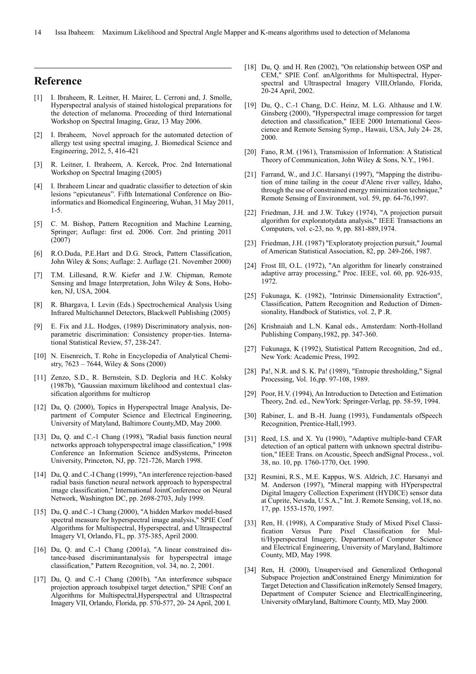### **Reference**

- [1] I. Ibraheem, R. Leitner, H. Mairer, L. Cerroni and, J. Smolle, Hyperspectral analysis of stained histological preparations for the detection of melanoma. Proceeding of third International Workshop on Spectral Imaging, Graz, 13 May 2006.
- [2] I. Ibraheem, Novel approach for the automated detection of allergy test using spectral imaging, J. Biomedical Science and Engineering, 2012, 5, 416-421
- [3] R. Leitner, I. Ibraheem, A. Kercek, Proc. 2nd International Workshop on Spectral Imaging (2005)
- [4] I. Ibraheem Linear and quadratic classifier to detection of skin lesions "epicutaneus". Fifth International Conference on Bioinformatics and Biomedical Engineering, Wuhan, 31 May 2011, 1-5.
- [5] C. M. Bishop, Pattern Recognition and Machine Learning, Springer; Auflage: first ed. 2006. Corr. 2nd printing 2011 (2007)
- [6] R.O.Duda, P.E.Hart and D.G. Strock, Pattern Classification, John Wiley & Sons; Auflage: 2. Auflage (21. November 2000)
- [7] T.M. Lillesand, R.W. Kiefer and J.W. Chipman, Remote Sensing and Image Interpretation, John Wiley & Sons, Hoboken, NJ, USA, 2004.
- [8] R. Bhargava, I. Levin (Eds.) Spectrochemical Analysis Using Infrared Multichannel Detectors, Blackwell Publishing (2005)
- [9] E. Fix and J.L. Hodges, (1989) Discriminatory analysis, nonparametric discrimination: Consistency proper-ties. International Statistical Review, 57, 238-247.
- [10] N. Eisenreich, T. Rohe in Encyclopedia of Analytical Chemistry,  $7623 - 7644$ , Wiley & Sons (2000)
- [11] Zenzo, S.D., R. Bernstein, S.D. Degloria and H.C. Kolsky (1987b), "Gaussian maximum likelihood and contextua1 classification algorithms for multicrop
- [12] Du, Q. (2000), Topics in Hyperspectral Image Analysis, Department of Computer Science and Electrical Engineering, University of Matyland, Baltimore County,MD, May 2000.
- [13] Du, Q. and C.-1 Chang (1998), "Radial basis function neural networks approach tohyperspectral image classification," 1998 Conference an Information Science andSystems, Princeton University, Princeton, NJ, pp. 721-726, March 1998.
- [14] Du, O, and C.-I Chang (1999), "An interference rejection-based radial basis function neural network approach to hyperspectral image classification," International JointConference on Neural Network, Washington DC, pp. 2698-2703, July 1999.
- [15] Du, Q. and C.-1 Chang (2000), "A hidden Markov model-based spectral measure for hyperspectral image analysis," SPIE Conf Algorithms for Multispectral, Hyperspectral, and Ultraspectral Imagery VI, Orlando, FL, pp. 375-385, April 2000.
- [16] Du, Q. and C.-1 Chang (2001a), "A linear constrained distance-based discriminantanalysis for hyperspectral image classification," Pattern Recognition, vol. 34, no. 2, 2001.
- [17] Du, Q. and C.-1 Chang (2001b), "An interference subspace projection approach tosubpixel target detection," SPIE Conf an Algorithms for Multispectral,Hyperspectral and Ultraspectral Imagery VII, Orlando, Florida, pp. 570-577, 20- 24 April, 200 I.
- [18] Du, Q. and H. Ren (2002), "On relationship between OSP and CEM," SPIE Conf. anAlgorithms for Multispectral, Hyperspectral and Ultraspectral Imagery VIII,Orlando, Florida, 20-24 April, 2002.
- [19] Du, Q., C.-1 Chang, D.C. Heinz, M. L.G. Althause and I.W. Ginsberg (2000), "Hyperspectral image compression for target detection and classification," IEEE 2000 International Geoscience and Remote Sensing Symp., Hawaii, USA, July 24- 28, 2000.
- [20] Fano, R.M. (1961), Transmission of Information: A Statistical Theory of Communication, John Wiley & Sons, N.Y., 1961.
- [21] Farrand, W., and J.C. Harsanyi (1997), "Mapping the distribution of mine tailing in the coeur d'Alene river valley, Idaho, through the use of constrained energy minimization technique," Remote Sensing of Environment, vol. 59, pp. 64-76,1997.
- [22] Friedman, J.H. and J.W. Tukey (1974), "A projection pursuit algorithm for exploratotydata analysis," IEEE Transactions an Computers, vol. c-23, no. 9, pp. 881-889,1974.
- [23] Friedman, J.H. (1987) "Exploratoty projection pursuit," Journal of American Statistical Association, 82, pp. 249-266, 1987.
- [24] Frost Ill, O.L. (1972), "An algorithm for linearly constrained adaptive array processing," Proc. IEEE, vol. 60, pp. 926-935, 1972.
- [25] Fukunaga, K. (1982), "Intrinsic Dimensionality Extraction", Classification, Pattern Recognition and Reduction of Dimensionality, Handbock of Statistics, vol. 2, P .R.
- [26] Krishnaiah and L.N. Kanal eds., Amsterdam: North-Holland Publishing Company,1982, pp. 347-360.
- [27] Fukunaga, K (1992), Statistical Pattern Recognition, 2nd ed., New York: Academic Press, 1992.
- [28] Pa!, N.R. and S. K. Pa! (1989), "Entropie thresholding," Signal Processing, Vol. 16,pp. 97-108, 1989.
- [29] Poor, H.V. (1994), An Introduction to Detection and Estimation Theory, 2nd. ed., NewYork: Springer-Verlag, pp. 58-59, 1994.
- [30] Rabiner, L. and B.-H. Juang (1993), Fundamentals ofSpeech Recognition, Prentice-Hall,1993.
- [31] Reed, I.S. and X. Yu (1990), "Adaptive multiple-band CFAR detection of an optical pattern with unknown spectral distribution," IEEE Trans. on Acoustic, Speech andSignal Process., vol. 38, no. 10, pp. 1760-1770, Oct. 1990.
- [32] Resmini, R.S., M.E. Kappus, W.S. Aldrich, J.C. Harsanyi and M. Anderson (1997), "Mineral mapping with HYperspectral Digital lmagery Collection Experiment (HYDICE) sensor data at Cuprite, Nevada, U.S.A.," Int. J. Remote Sensing, vol.18, no. 17, pp. 1553-1570, 1997.
- [33] Ren, H. (1998), A Comparative Study of Mixed Pixel Classification Versus Pure Pixel Classification for Multi/Hyperspectral Imagery, Department.of Computer Science and Electrical Engineering, University of Maryland, Baltimore County, MD, May 1998.
- [34] Ren, H. (2000), Unsupervised and Generalized Orthogonal Subspace Projection andConstrained Energy Minimization for Target Detection and Classification inRemotely Sensed Imagery, Department of Computer Science and ElectricalEngineering, University ofMaryland, Baltimore County, MD, May 2000.